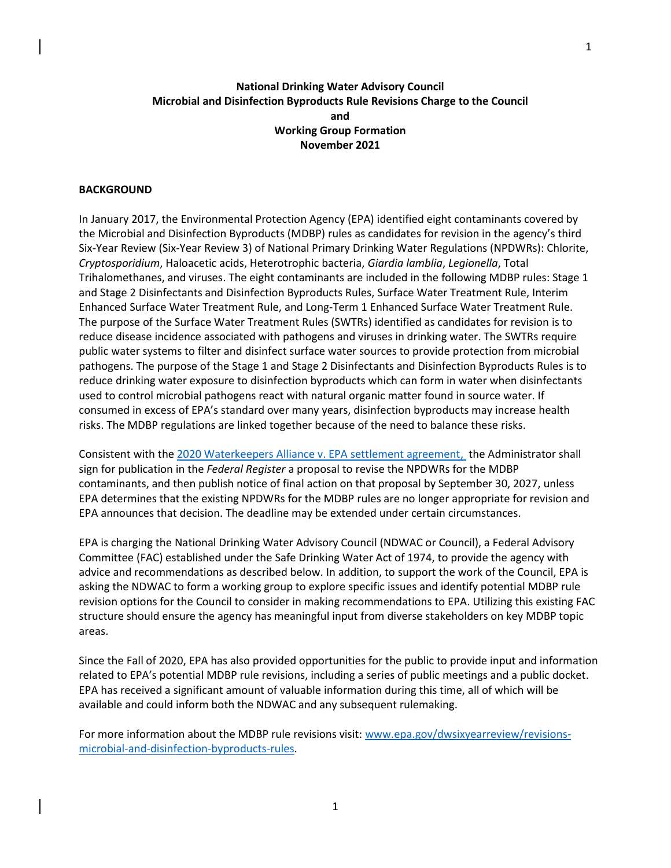# **National Drinking Water Advisory Council Microbial and Disinfection Byproducts Rule Revisions Charge to the Council and Working Group Formation November 2021**

## **BACKGROUND**

In January 2017, the Environmental Protection Agency (EPA) identified eight contaminants covered by the Microbial and Disinfection Byproducts (MDBP) rules as candidates for revision in the agency's third Six-Year Review (Six-Year Review 3) of National Primary Drinking Water Regulations (NPDWRs): Chlorite, *Cryptosporidium*, Haloacetic acids, Heterotrophic bacteria, *Giardia lamblia*, *Legionella*, Total Trihalomethanes, and viruses. The eight contaminants are included in the following MDBP rules: Stage 1 and Stage 2 Disinfectants and Disinfection Byproducts Rules, Surface Water Treatment Rule, Interim Enhanced Surface Water Treatment Rule, and Long-Term 1 Enhanced Surface Water Treatment Rule. The purpose of the Surface Water Treatment Rules (SWTRs) identified as candidates for revision is to reduce disease incidence associated with pathogens and viruses in drinking water. The SWTRs require public water systems to filter and disinfect surface water sources to provide protection from microbial pathogens. The purpose of the Stage 1 and Stage 2 Disinfectants and Disinfection Byproducts Rules is to reduce drinking water exposure to disinfection byproducts which can form in water when disinfectants used to control microbial pathogens react with natural organic matter found in source water. If consumed in excess of EPA's standard over many years, disinfection byproducts may increase health risks. The MDBP regulations are linked together because of the need to balance these risks.

Consistent with th[e 2020 Waterkeepers Alliance v. EPA settlement agreement,](https://waterkeeper.org/wp-content/uploads/2020/06/Settlement-Agreement.pdf) the Administrator shall sign for publication in the *Federal Register* a proposal to revise the NPDWRs for the MDBP contaminants, and then publish notice of final action on that proposal by September 30, 2027, unless EPA determines that the existing NPDWRs for the MDBP rules are no longer appropriate for revision and EPA announces that decision. The deadline may be extended under certain circumstances.

EPA is charging the National Drinking Water Advisory Council (NDWAC or Council), a Federal Advisory Committee (FAC) established under the Safe Drinking Water Act of 1974, to provide the agency with advice and recommendations as described below. In addition, to support the work of the Council, EPA is asking the NDWAC to form a working group to explore specific issues and identify potential MDBP rule revision options for the Council to consider in making recommendations to EPA. Utilizing this existing FAC structure should ensure the agency has meaningful input from diverse stakeholders on key MDBP topic areas.

Since the Fall of 2020, EPA has also provided opportunities for the public to provide input and information related to EPA's potential MDBP rule revisions, including a series of public meetings and a public docket. EPA has received a significant amount of valuable information during this time, all of which will be available and could inform both the NDWAC and any subsequent rulemaking.

For more information about the MDBP rule revisions visit: [www.epa.gov/dwsixyearreview/revisions](http://www.epa.gov/dwsixyearreview/revisions-microbial-and-disinfection-byproducts-rules)[microbial-and-disinfection-byproducts-rules.](http://www.epa.gov/dwsixyearreview/revisions-microbial-and-disinfection-byproducts-rules)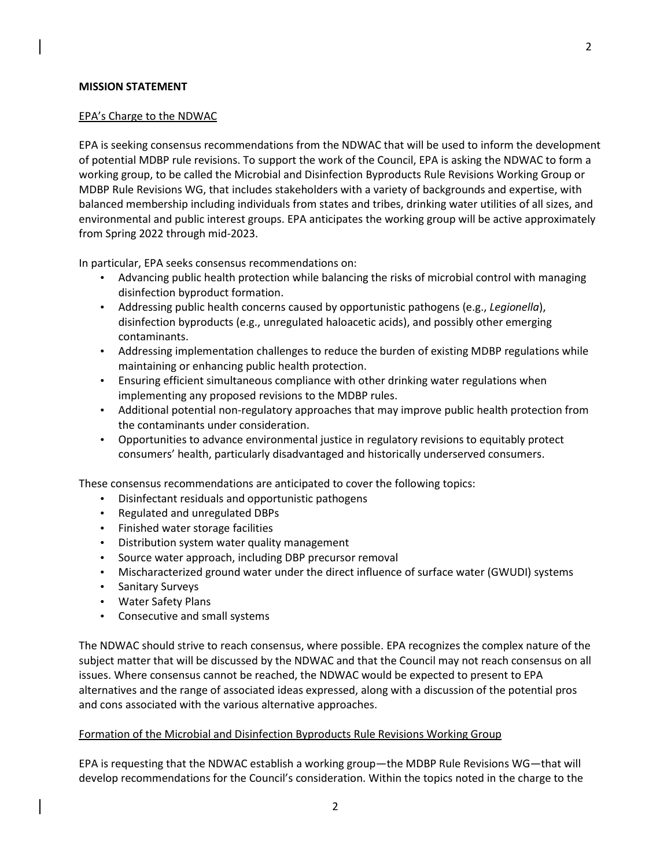## **MISSION STATEMENT**

### EPA's Charge to the NDWAC

EPA is seeking consensus recommendations from the NDWAC that will be used to inform the development of potential MDBP rule revisions. To support the work of the Council, EPA is asking the NDWAC to form a working group, to be called the Microbial and Disinfection Byproducts Rule Revisions Working Group or MDBP Rule Revisions WG, that includes stakeholders with a variety of backgrounds and expertise, with balanced membership including individuals from states and tribes, drinking water utilities of all sizes, and environmental and public interest groups. EPA anticipates the working group will be active approximately from Spring 2022 through mid-2023.

In particular, EPA seeks consensus recommendations on:

- Advancing public health protection while balancing the risks of microbial control with managing disinfection byproduct formation.
- Addressing public health concerns caused by opportunistic pathogens (e.g., *Legionella*), disinfection byproducts (e.g., unregulated haloacetic acids), and possibly other emerging contaminants.
- Addressing implementation challenges to reduce the burden of existing MDBP regulations while maintaining or enhancing public health protection.
- Ensuring efficient simultaneous compliance with other drinking water regulations when implementing any proposed revisions to the MDBP rules.
- Additional potential non-regulatory approaches that may improve public health protection from the contaminants under consideration.
- Opportunities to advance environmental justice in regulatory revisions to equitably protect consumers' health, particularly disadvantaged and historically underserved consumers.

These consensus recommendations are anticipated to cover the following topics:

- Disinfectant residuals and opportunistic pathogens
- Regulated and unregulated DBPs
- Finished water storage facilities
- Distribution system water quality management
- Source water approach, including DBP precursor removal
- Mischaracterized ground water under the direct influence of surface water (GWUDI) systems
- Sanitary Surveys
- Water Safety Plans
- Consecutive and small systems

The NDWAC should strive to reach consensus, where possible. EPA recognizes the complex nature of the subject matter that will be discussed by the NDWAC and that the Council may not reach consensus on all issues. Where consensus cannot be reached, the NDWAC would be expected to present to EPA alternatives and the range of associated ideas expressed, along with a discussion of the potential pros and cons associated with the various alternative approaches.

### Formation of the Microbial and Disinfection Byproducts Rule Revisions Working Group

EPA is requesting that the NDWAC establish a working group—the MDBP Rule Revisions WG—that will develop recommendations for the Council's consideration. Within the topics noted in the charge to the